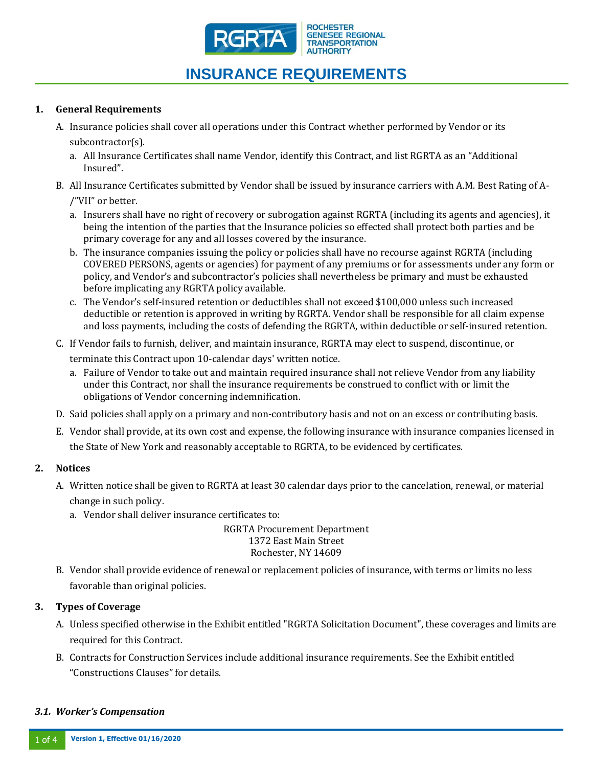

# **INSURANCE REQUIREMENTS**

#### **1. General Requirements**

- A. Insurance policies shall cover all operations under this Contract whether performed by Vendor or its subcontractor(s).
	- a. All Insurance Certificates shall name Vendor, identify this Contract, and list RGRTA as an "Additional Insured".
- B. All Insurance Certificates submitted by Vendor shall be issued by insurance carriers with A.M. Best Rating of A-

/"VII" or better.

- a. Insurers shall have no right of recovery or subrogation against RGRTA (including its agents and agencies), it being the intention of the parties that the Insurance policies so effected shall protect both parties and be primary coverage for any and all losses covered by the insurance.
- b. The insurance companies issuing the policy or policies shall have no recourse against RGRTA (including COVERED PERSONS, agents or agencies) for payment of any premiums or for assessments under any form or policy, and Vendor's and subcontractor's policies shall nevertheless be primary and must be exhausted before implicating any RGRTA policy available.
- c. The Vendor's self-insured retention or deductibles shall not exceed \$100,000 unless such increased deductible or retention is approved in writing by RGRTA. Vendor shall be responsible for all claim expense and loss payments, including the costs of defending the RGRTA, within deductible or self-insured retention.
- C. If Vendor fails to furnish, deliver, and maintain insurance, RGRTA may elect to suspend, discontinue, or terminate this Contract upon 10-calendar days' written notice.
	- a. Failure of Vendor to take out and maintain required insurance shall not relieve Vendor from any liability under this Contract, nor shall the insurance requirements be construed to conflict with or limit the obligations of Vendor concerning indemnification.
- D. Said policies shall apply on a primary and non-contributory basis and not on an excess or contributing basis.
- E. Vendor shall provide, at its own cost and expense, the following insurance with insurance companies licensed in the State of New York and reasonably acceptable to RGRTA, to be evidenced by certificates.

### **2. Notices**

- A. Written notice shall be given to RGRTA at least 30 calendar days prior to the cancelation, renewal, or material change in such policy.
	- a. Vendor shall deliver insurance certificates to:

#### RGRTA Procurement Department 1372 East Main Street Rochester, NY 14609

B. Vendor shall provide evidence of renewal or replacement policies of insurance, with terms or limits no less favorable than original policies.

### **3. Types of Coverage**

- A. Unless specified otherwise in the Exhibit entitled "RGRTA Solicitation Document", these coverages and limits are required for this Contract.
- B. Contracts for Construction Services include additional insurance requirements. See the Exhibit entitled "Constructions Clauses" for details.

#### *3.1. Worker's Compensation*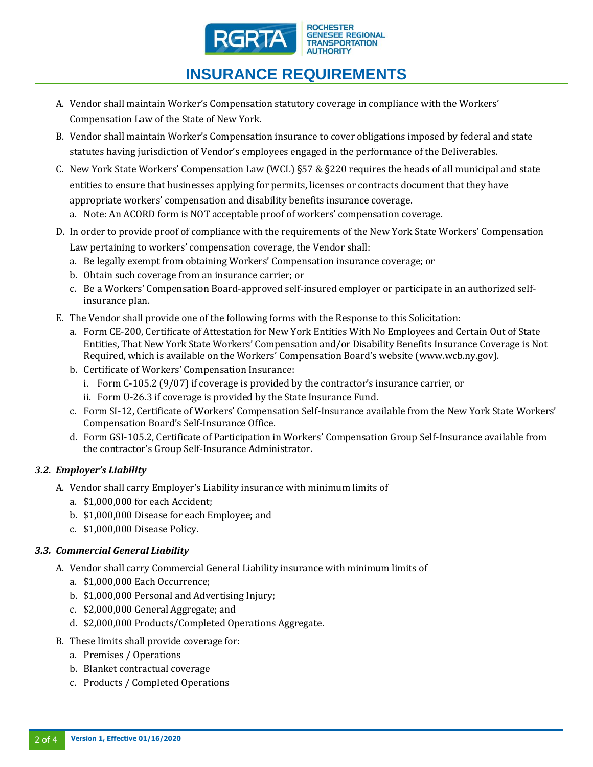

# **INSURANCE REQUIREMENTS**

- A. Vendor shall maintain Worker's Compensation statutory coverage in compliance with the Workers' Compensation Law of the State of New York.
- B. Vendor shall maintain Worker's Compensation insurance to cover obligations imposed by federal and state statutes having jurisdiction of Vendor's employees engaged in the performance of the Deliverables.
- C. New York State Workers' Compensation Law (WCL)  $\S57 \& \S220$  requires the heads of all municipal and state entities to ensure that businesses applying for permits, licenses or contracts document that they have appropriate workers' compensation and disability benefits insurance coverage.
	- a. Note: An ACORD form is NOT acceptable proof of workers' compensation coverage.
- D. In order to provide proof of compliance with the requirements of the New York State Workers' Compensation Law pertaining to workers' compensation coverage, the Vendor shall:
	- a. Be legally exempt from obtaining Workers' Compensation insurance coverage; or
	- b. Obtain such coverage from an insurance carrier; or
	- c. Be a Workers' Compensation Board-approved self-insured employer or participate in an authorized selfinsurance plan.
- E. The Vendor shall provide one of the following forms with the Response to this Solicitation:
	- a. Form CE-200, Certificate of Attestation for New York Entities With No Employees and Certain Out of State Entities, That New York State Workers' Compensation and/or Disability Benefits Insurance Coverage is Not Required, which is available on the Workers' Compensation Board's website (www.wcb.ny.gov).
	- b. Certificate of Workers' Compensation Insurance:
		- i. Form C-105.2 (9/07) if coverage is provided by the contractor's insurance carrier, or
		- ii. Form U-26.3 if coverage is provided by the State Insurance Fund.
	- c. Form SI-12, Certificate of Workers' Compensation Self-Insurance available from the New York State Workers' Compensation Board's Self-Insurance Office.
	- d. Form GSI-105.2, Certificate of Participation in Workers' Compensation Group Self-Insurance available from the contractor's Group Self-Insurance Administrator.

# *3.2. Employer's Liability*

- A. Vendor shall carry Employer's Liability insurance with minimum limits of
	- a. \$1,000,000 for each Accident;
	- b. \$1,000,000 Disease for each Employee; and
	- c. \$1,000,000 Disease Policy.

# *3.3. Commercial General Liability*

- A. Vendor shall carry Commercial General Liability insurance with minimum limits of
	- a. \$1,000,000 Each Occurrence;
	- b. \$1,000,000 Personal and Advertising Injury;
	- c. \$2,000,000 General Aggregate; and
	- d. \$2,000,000 Products/Completed Operations Aggregate.
- B. These limits shall provide coverage for:
	- a. Premises / Operations
	- b. Blanket contractual coverage
	- c. Products / Completed Operations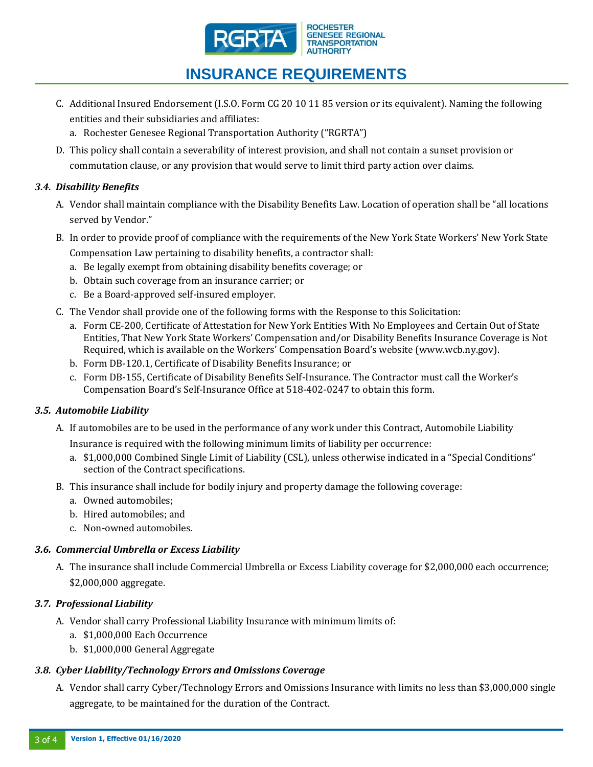

# **INSURANCE REQUIREMENTS**

- C. Additional Insured Endorsement (I.S.O. Form CG 20 10 11 85 version or its equivalent). Naming the following entities and their subsidiaries and affiliates:
	- a. Rochester Genesee Regional Transportation Authority ("RGRTA")
- D. This policy shall contain a severability of interest provision, and shall not contain a sunset provision or commutation clause, or any provision that would serve to limit third party action over claims.

# *3.4. Disability Benefits*

- A. Vendor shall maintain compliance with the Disability Benefits Law. Location of operation shall be "all locations served by Vendor."
- B. In order to provide proof of compliance with the requirements of the New York State Workers' New York State Compensation Law pertaining to disability benefits, a contractor shall:
	- a. Be legally exempt from obtaining disability benefits coverage; or
	- b. Obtain such coverage from an insurance carrier; or
	- c. Be a Board-approved self-insured employer.
- C. The Vendor shall provide one of the following forms with the Response to this Solicitation:
	- a. Form CE-200, Certificate of Attestation for New York Entities With No Employees and Certain Out of State Entities, That New York State Workers' Compensation and/or Disability Benefits Insurance Coverage is Not Required, which is available on the Workers' Compensation Board's website ([www.wcb.ny.gov\)](http://www.wcb.ny.gov/).
	- b. Form DB-120.1, Certificate of Disability Benefits Insurance; or
	- c. Form DB-155, Certificate of Disability Benefits Self-Insurance. The Contractor must call the Worker's Compensation Board's Self-Insurance Office at 518-402-0247 to obtain this form.

# *3.5. Automobile Liability*

- A. If automobiles are to be used in the performance of any work under this Contract, Automobile Liability Insurance is required with the following minimum limits of liability per occurrence:
	- a. \$1,000,000 Combined Single Limit of Liability (CSL), unless otherwise indicated in a "Special Conditions" section of the Contract specifications.
- B. This insurance shall include for bodily injury and property damage the following coverage:
	- a. Owned automobiles;
	- b. Hired automobiles; and
	- c. Non-owned automobiles.

# *3.6. Commercial Umbrella or Excess Liability*

A. The insurance shall include Commercial Umbrella or Excess Liability coverage for \$2,000,000 each occurrence; \$2,000,000 aggregate.

# *3.7. Professional Liability*

- A. Vendor shall carry Professional Liability Insurance with minimum limits of:
	- a. \$1,000,000 Each Occurrence
	- b. \$1,000,000 General Aggregate

### *3.8. Cyber Liability/Technology Errors and Omissions Coverage*

A. Vendor shall carry Cyber/Technology Errors and Omissions Insurance with limits no less than \$3,000,000 single aggregate, to be maintained for the duration of the Contract.